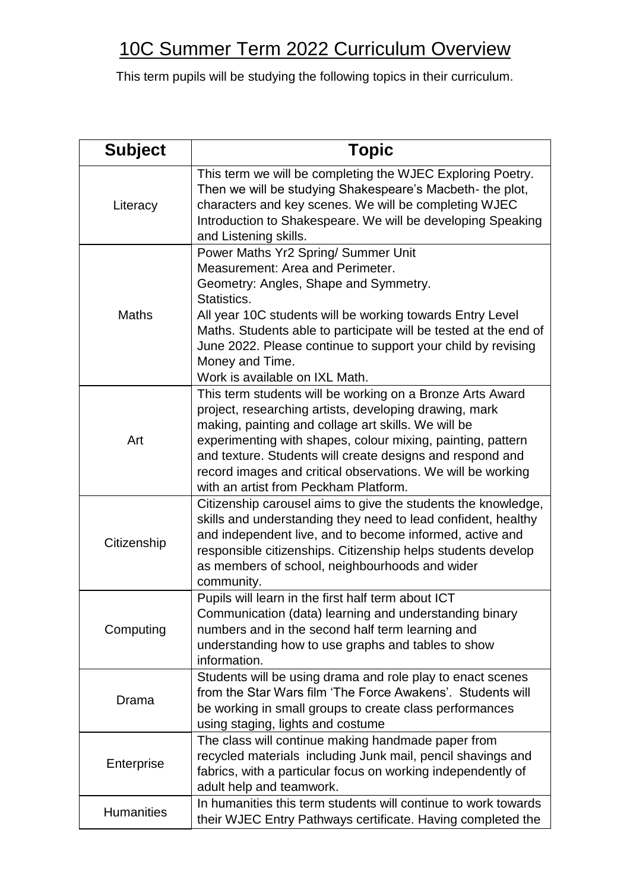## 10C Summer Term 2022 Curriculum Overview

This term pupils will be studying the following topics in their curriculum.

| <b>Subject</b>    | <b>Topic</b>                                                                                                                                                                                                                                                                                                                                                                                                   |
|-------------------|----------------------------------------------------------------------------------------------------------------------------------------------------------------------------------------------------------------------------------------------------------------------------------------------------------------------------------------------------------------------------------------------------------------|
| Literacy          | This term we will be completing the WJEC Exploring Poetry.<br>Then we will be studying Shakespeare's Macbeth- the plot,<br>characters and key scenes. We will be completing WJEC<br>Introduction to Shakespeare. We will be developing Speaking<br>and Listening skills.                                                                                                                                       |
| <b>Maths</b>      | Power Maths Yr2 Spring/ Summer Unit<br>Measurement: Area and Perimeter.<br>Geometry: Angles, Shape and Symmetry.<br>Statistics.<br>All year 10C students will be working towards Entry Level<br>Maths. Students able to participate will be tested at the end of<br>June 2022. Please continue to support your child by revising<br>Money and Time.<br>Work is available on IXL Math.                          |
| Art               | This term students will be working on a Bronze Arts Award<br>project, researching artists, developing drawing, mark<br>making, painting and collage art skills. We will be<br>experimenting with shapes, colour mixing, painting, pattern<br>and texture. Students will create designs and respond and<br>record images and critical observations. We will be working<br>with an artist from Peckham Platform. |
| Citizenship       | Citizenship carousel aims to give the students the knowledge,<br>skills and understanding they need to lead confident, healthy<br>and independent live, and to become informed, active and<br>responsible citizenships. Citizenship helps students develop<br>as members of school, neighbourhoods and wider<br>community.                                                                                     |
| Computing         | Pupils will learn in the first half term about ICT<br>Communication (data) learning and understanding binary<br>numbers and in the second half term learning and<br>understanding how to use graphs and tables to show<br>information.                                                                                                                                                                         |
| Drama             | Students will be using drama and role play to enact scenes<br>from the Star Wars film 'The Force Awakens'. Students will<br>be working in small groups to create class performances<br>using staging, lights and costume                                                                                                                                                                                       |
| Enterprise        | The class will continue making handmade paper from<br>recycled materials including Junk mail, pencil shavings and<br>fabrics, with a particular focus on working independently of<br>adult help and teamwork.                                                                                                                                                                                                  |
| <b>Humanities</b> | In humanities this term students will continue to work towards<br>their WJEC Entry Pathways certificate. Having completed the                                                                                                                                                                                                                                                                                  |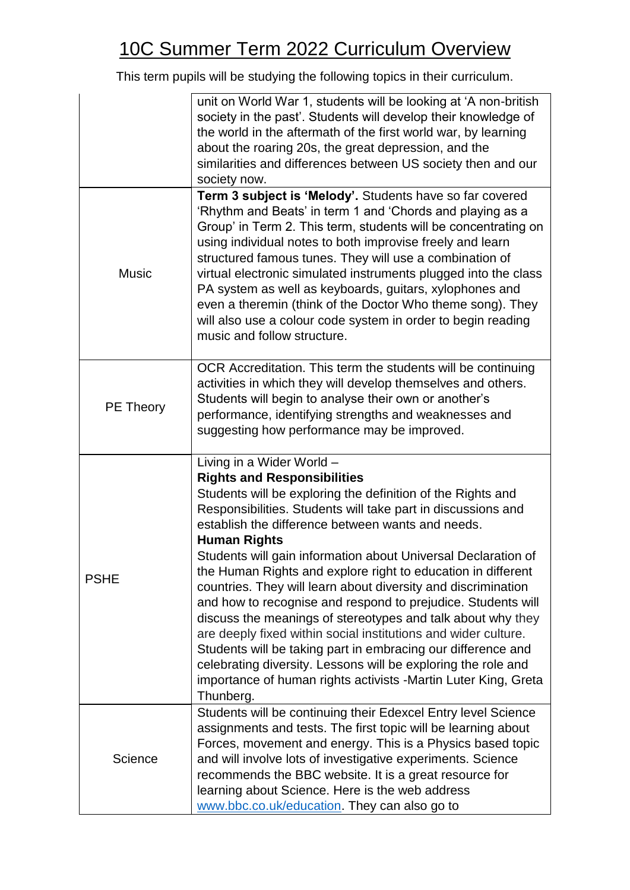## 10C Summer Term 2022 Curriculum Overview

This term pupils will be studying the following topics in their curriculum.

|                  | unit on World War 1, students will be looking at 'A non-british<br>society in the past'. Students will develop their knowledge of<br>the world in the aftermath of the first world war, by learning<br>about the roaring 20s, the great depression, and the<br>similarities and differences between US society then and our<br>society now.                                                                                                                                                                                                                                                                                                                                                                                                                                                                                                                                                   |
|------------------|-----------------------------------------------------------------------------------------------------------------------------------------------------------------------------------------------------------------------------------------------------------------------------------------------------------------------------------------------------------------------------------------------------------------------------------------------------------------------------------------------------------------------------------------------------------------------------------------------------------------------------------------------------------------------------------------------------------------------------------------------------------------------------------------------------------------------------------------------------------------------------------------------|
| <b>Music</b>     | Term 3 subject is 'Melody'. Students have so far covered<br>'Rhythm and Beats' in term 1 and 'Chords and playing as a<br>Group' in Term 2. This term, students will be concentrating on<br>using individual notes to both improvise freely and learn<br>structured famous tunes. They will use a combination of<br>virtual electronic simulated instruments plugged into the class<br>PA system as well as keyboards, guitars, xylophones and<br>even a theremin (think of the Doctor Who theme song). They<br>will also use a colour code system in order to begin reading<br>music and follow structure.                                                                                                                                                                                                                                                                                    |
| <b>PE Theory</b> | OCR Accreditation. This term the students will be continuing<br>activities in which they will develop themselves and others.<br>Students will begin to analyse their own or another's<br>performance, identifying strengths and weaknesses and<br>suggesting how performance may be improved.                                                                                                                                                                                                                                                                                                                                                                                                                                                                                                                                                                                                 |
| <b>PSHE</b>      | Living in a Wider World -<br><b>Rights and Responsibilities</b><br>Students will be exploring the definition of the Rights and<br>Responsibilities. Students will take part in discussions and<br>establish the difference between wants and needs.<br><b>Human Rights</b><br>Students will gain information about Universal Declaration of<br>the Human Rights and explore right to education in different<br>countries. They will learn about diversity and discrimination<br>and how to recognise and respond to prejudice. Students will<br>discuss the meanings of stereotypes and talk about why they<br>are deeply fixed within social institutions and wider culture.<br>Students will be taking part in embracing our difference and<br>celebrating diversity. Lessons will be exploring the role and<br>importance of human rights activists -Martin Luter King, Greta<br>Thunberg. |
| Science          | Students will be continuing their Edexcel Entry level Science<br>assignments and tests. The first topic will be learning about<br>Forces, movement and energy. This is a Physics based topic<br>and will involve lots of investigative experiments. Science<br>recommends the BBC website. It is a great resource for<br>learning about Science. Here is the web address<br>www.bbc.co.uk/education. They can also go to                                                                                                                                                                                                                                                                                                                                                                                                                                                                      |